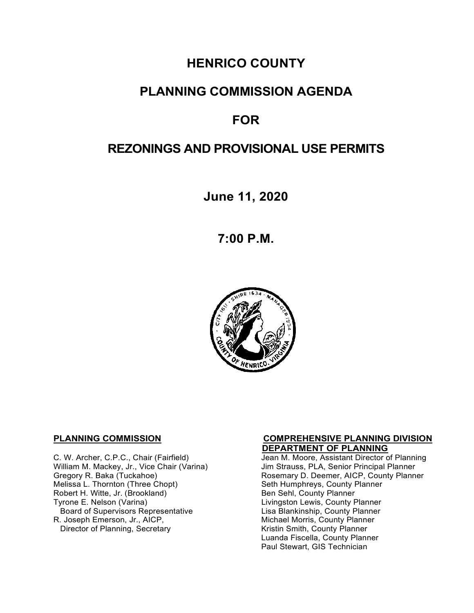# **HENRICO COUNTY**

## **PLANNING COMMISSION AGENDA**

# **FOR**

# **REZONINGS AND PROVISIONAL USE PERMITS**

**June 11, 2020**

**7:00 P.M.**



 **DEPARTMENT OF PLANNING**  William M. Mackey, Jr., Vice Chair (Varina)<br>Gregory R. Baka (Tuckahoe) Robert H. Witte, Jr. (Brookland)<br>Tyrone E. Nelson (Varina) Board of Supervisors Representative<br>R. Joseph Emerson, Jr., AICP, Director of Planning, Secretary

# **PLANNING COMMISSION COMPREHENSIVE PLANNING DIVISION**

Jean M. Moore, Assistant Director of Planning<br>Jim Strauss, PLA, Senior Principal Planner Gregory R. Baka (Tuckahoe) Rosemary D. Deemer, AICP, County Planner<br>Melissa L. Thornton (Three Chopt) Research Seth Humphreys, County Planner Seth Humphreys, County Planner<br>Ben Sehl, County Planner Livingston Lewis, County Planner<br>Lisa Blankinship, County Planner Michael Morris, County Planner<br>Kristin Smith, County Planner Luanda Fiscella, County Planner Paul Stewart, GIS Technician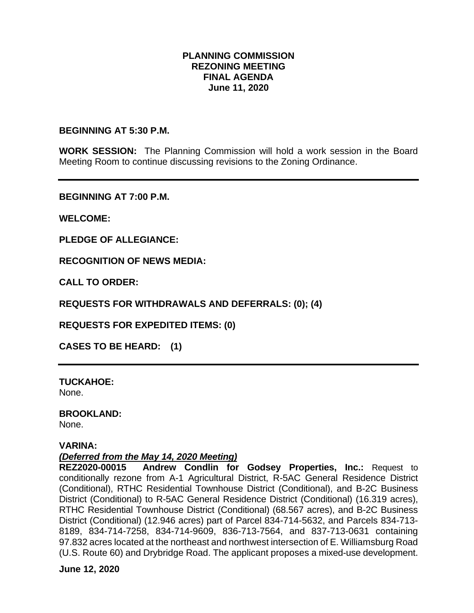#### **PLANNING COMMISSION REZONING MEETING FINAL AGENDA June 11, 2020**

**BEGINNING AT 5:30 P.M.** 

**WORK SESSION:** The Planning Commission will hold a work session in the Board Meeting Room to continue discussing revisions to the Zoning Ordinance.

**BEGINNING AT 7:00 P.M.**

**WELCOME:**

**PLEDGE OF ALLEGIANCE:**

**RECOGNITION OF NEWS MEDIA:**

**CALL TO ORDER:**

**REQUESTS FOR WITHDRAWALS AND DEFERRALS: (0); (4)** 

**REQUESTS FOR EXPEDITED ITEMS: (0)** 

**CASES TO BE HEARD: (1)** 

**TUCKAHOE:** None.

**BROOKLAND:**

None.

#### **VARINA:**

*(Deferred from the May 14, 2020 Meeting)*

**REZ2020-00015 Andrew Condlin for Godsey Properties, Inc.:** Request to conditionally rezone from A-1 Agricultural District, R-5AC General Residence District (Conditional), RTHC Residential Townhouse District (Conditional), and B-2C Business District (Conditional) to R-5AC General Residence District (Conditional) (16.319 acres), RTHC Residential Townhouse District (Conditional) (68.567 acres), and B-2C Business District (Conditional) (12.946 acres) part of Parcel 834-714-5632, and Parcels 834-713- 8189, 834-714-7258, 834-714-9609, 836-713-7564, and 837-713-0631 containing 97.832 acres located at the northeast and northwest intersection of E. Williamsburg Road (U.S. Route 60) and Drybridge Road. The applicant proposes a mixed-use development.

**June 12, 2020**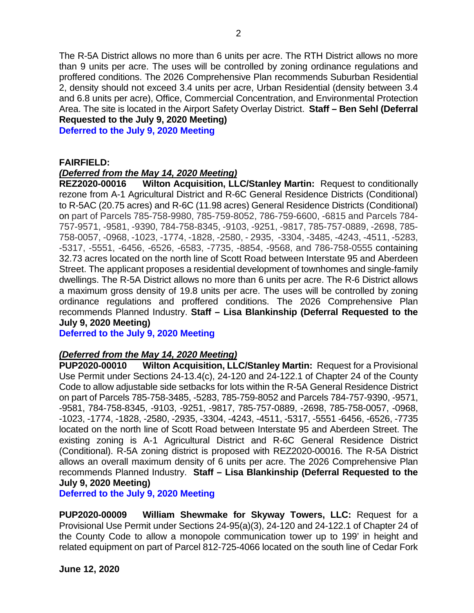The R-5A District allows no more than 6 units per acre. The RTH District allows no more than 9 units per acre. The uses will be controlled by zoning ordinance regulations and proffered conditions. The 2026 Comprehensive Plan recommends Suburban Residential 2, density should not exceed 3.4 units per acre, Urban Residential (density between 3.4 and 6.8 units per acre), Office, Commercial Concentration, and Environmental Protection Area. The site is located in the Airport Safety Overlay District. **Staff – Ben Sehl (Deferral Requested to the July 9, 2020 Meeting)**

**Deferred to the July 9, 2020 Meeting**

#### **FAIRFIELD:**

#### *(Deferred from the May 14, 2020 Meeting)*

**REZ2020-00016 Wilton Acquisition, LLC/Stanley Martin:** Request to conditionally rezone from A-1 Agricultural District and R-6C General Residence Districts (Conditional) to R-5AC (20.75 acres) and R-6C (11.98 acres) General Residence Districts (Conditional) on part of Parcels 785-758-9980, 785-759-8052, 786-759-6600, -6815 and Parcels 784- 757-9571, -9581, -9390, 784-758-8345, -9103, -9251, -9817, 785-757-0889, -2698, 785- 758-0057, -0968, -1023, -1774, -1828, -2580, - 2935, -3304, -3485, -4243, -4511, -5283, -5317, -5551, -6456, -6526, -6583, -7735, -8854, -9568, and 786-758-0555 containing 32.73 acres located on the north line of Scott Road between Interstate 95 and Aberdeen Street. The applicant proposes a residential development of townhomes and single-family dwellings. The R-5A District allows no more than 6 units per acre. The R-6 District allows a maximum gross density of 19.8 units per acre. The uses will be controlled by zoning ordinance regulations and proffered conditions. The 2026 Comprehensive Plan recommends Planned Industry. **Staff – Lisa Blankinship (Deferral Requested to the July 9, 2020 Meeting)**

**Deferred to the July 9, 2020 Meeting**

#### *(Deferred from the May 14, 2020 Meeting)*

**PUP2020-00010 Wilton Acquisition, LLC/Stanley Martin:** Request for a Provisional Use Permit under Sections 24-13.4(c), 24-120 and 24-122.1 of Chapter 24 of the County Code to allow adjustable side setbacks for lots within the R-5A General Residence District on part of Parcels 785-758-3485, -5283, 785-759-8052 and Parcels 784-757-9390, -9571, -9581, 784-758-8345, -9103, -9251, -9817, 785-757-0889, -2698, 785-758-0057, -0968, -1023, -1774, -1828, -2580, -2935, -3304, -4243, -4511, -5317, -5551 -6456, -6526, -7735 located on the north line of Scott Road between Interstate 95 and Aberdeen Street. The existing zoning is A-1 Agricultural District and R-6C General Residence District (Conditional). R-5A zoning district is proposed with REZ2020-00016. The R-5A District allows an overall maximum density of 6 units per acre. The 2026 Comprehensive Plan recommends Planned Industry. **Staff – Lisa Blankinship (Deferral Requested to the July 9, 2020 Meeting)**

**Deferred to the July 9, 2020 Meeting**

**PUP2020-00009 William Shewmake for Skyway Towers, LLC:** Request for a Provisional Use Permit under Sections 24-95(a)(3), 24-120 and 24-122.1 of Chapter 24 of the County Code to allow a monopole communication tower up to 199' in height and related equipment on part of Parcel 812-725-4066 located on the south line of Cedar Fork

**June 12, 2020**